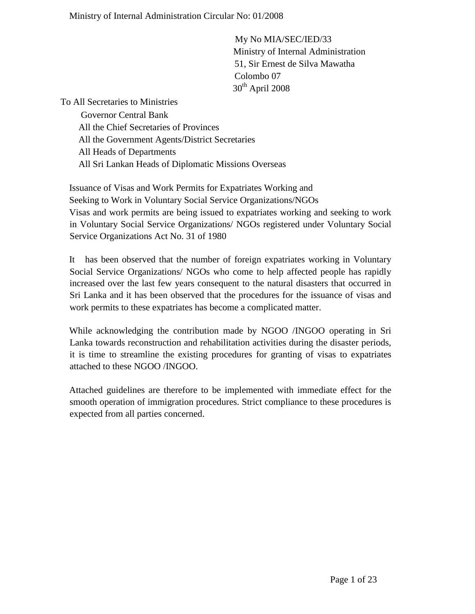My No MIA/SEC/IED/33 Ministry of Internal Administration 51, Sir Ernest de Silva Mawatha Colombo 07  $30<sup>th</sup>$  April 2008

To All Secretaries to Ministries

 Governor Central Bank All the Chief Secretaries of Provinces All the Government Agents/District Secretaries All Heads of Departments All Sri Lankan Heads of Diplomatic Missions Overseas

Issuance of Visas and Work Permits for Expatriates Working and Seeking to Work in Voluntary Social Service Organizations/NGOs Visas and work permits are being issued to expatriates working and seeking to work in Voluntary Social Service Organizations/ NGOs registered under Voluntary Social Service Organizations Act No. 31 of 1980

It has been observed that the number of foreign expatriates working in Voluntary Social Service Organizations/ NGOs who come to help affected people has rapidly increased over the last few years consequent to the natural disasters that occurred in Sri Lanka and it has been observed that the procedures for the issuance of visas and work permits to these expatriates has become a complicated matter.

While acknowledging the contribution made by NGOO /INGOO operating in Sri Lanka towards reconstruction and rehabilitation activities during the disaster periods, it is time to streamline the existing procedures for granting of visas to expatriates attached to these NGOO /INGOO.

Attached guidelines are therefore to be implemented with immediate effect for the smooth operation of immigration procedures. Strict compliance to these procedures is expected from all parties concerned.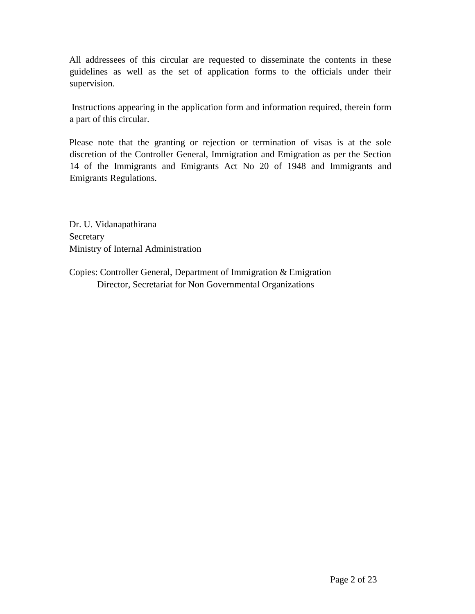All addressees of this circular are requested to disseminate the contents in these guidelines as well as the set of application forms to the officials under their supervision.

Instructions appearing in the application form and information required, therein form a part of this circular.

Please note that the granting or rejection or termination of visas is at the sole discretion of the Controller General, Immigration and Emigration as per the Section 14 of the Immigrants and Emigrants Act No 20 of 1948 and Immigrants and Emigrants Regulations.

Dr. U. Vidanapathirana Secretary Ministry of Internal Administration

Copies: Controller General, Department of Immigration & Emigration Director, Secretariat for Non Governmental Organizations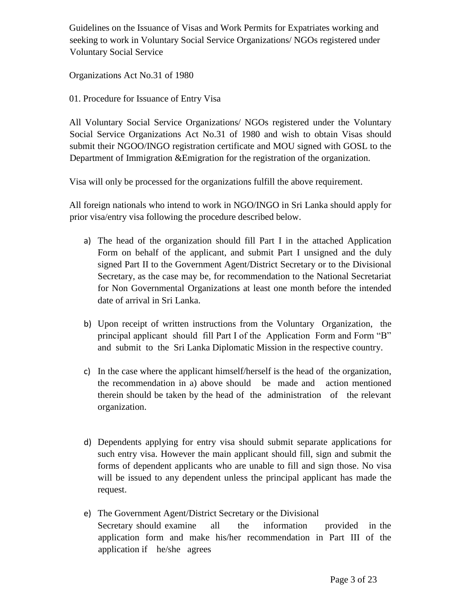Guidelines on the Issuance of Visas and Work Permits for Expatriates working and seeking to work in Voluntary Social Service Organizations/ NGOs registered under Voluntary Social Service

Organizations Act No.31 of 1980

01. Procedure for Issuance of Entry Visa

All Voluntary Social Service Organizations/ NGOs registered under the Voluntary Social Service Organizations Act No.31 of 1980 and wish to obtain Visas should submit their NGOO/INGO registration certificate and MOU signed with GOSL to the Department of Immigration &Emigration for the registration of the organization.

Visa will only be processed for the organizations fulfill the above requirement.

All foreign nationals who intend to work in NGO/INGO in Sri Lanka should apply for prior visa/entry visa following the procedure described below.

- a) The head of the organization should fill Part I in the attached Application Form on behalf of the applicant, and submit Part I unsigned and the duly signed Part II to the Government Agent/District Secretary or to the Divisional Secretary, as the case may be, for recommendation to the National Secretariat for Non Governmental Organizations at least one month before the intended date of arrival in Sri Lanka.
- b) Upon receipt of written instructions from the Voluntary Organization, the principal applicant should fill Part I of the Application Form and Form "B" and submit to the Sri Lanka Diplomatic Mission in the respective country.
- c) In the case where the applicant himself/herself is the head of the organization, the recommendation in a) above should be made and action mentioned therein should be taken by the head of the administration of the relevant organization.
- d) Dependents applying for entry visa should submit separate applications for such entry visa. However the main applicant should fill, sign and submit the forms of dependent applicants who are unable to fill and sign those. No visa will be issued to any dependent unless the principal applicant has made the request.
- e) The Government Agent/District Secretary or the Divisional Secretary should examine all the information provided in the application form and make his/her recommendation in Part III of the application if he/she agrees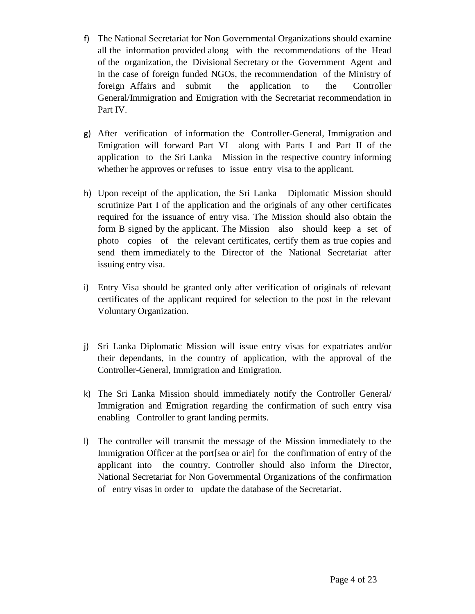- f) The National Secretariat for Non Governmental Organizations should examine all the information provided along with the recommendations of the Head of the organization, the Divisional Secretary or the Government Agent and in the case of foreign funded NGOs, the recommendation of the Ministry of foreign Affairs and submit the application to the Controller General/Immigration and Emigration with the Secretariat recommendation in Part IV.
- g) After verification of information the Controller-General, Immigration and Emigration will forward Part VI along with Parts I and Part II of the application to the Sri Lanka Mission in the respective country informing whether he approves or refuses to issue entry visa to the applicant.
- h) Upon receipt of the application, the Sri Lanka Diplomatic Mission should scrutinize Part I of the application and the originals of any other certificates required for the issuance of entry visa. The Mission should also obtain the form B signed by the applicant. The Mission also should keep a set of photo copies of the relevant certificates, certify them as true copies and send them immediately to the Director of the National Secretariat after issuing entry visa.
- i) Entry Visa should be granted only after verification of originals of relevant certificates of the applicant required for selection to the post in the relevant Voluntary Organization.
- j) Sri Lanka Diplomatic Mission will issue entry visas for expatriates and/or their dependants, in the country of application, with the approval of the Controller-General, Immigration and Emigration.
- k) The Sri Lanka Mission should immediately notify the Controller General/ Immigration and Emigration regarding the confirmation of such entry visa enabling Controller to grant landing permits.
- l) The controller will transmit the message of the Mission immediately to the Immigration Officer at the port[sea or air] for the confirmation of entry of the applicant into the country. Controller should also inform the Director, National Secretariat for Non Governmental Organizations of the confirmation of entry visas in order to update the database of the Secretariat.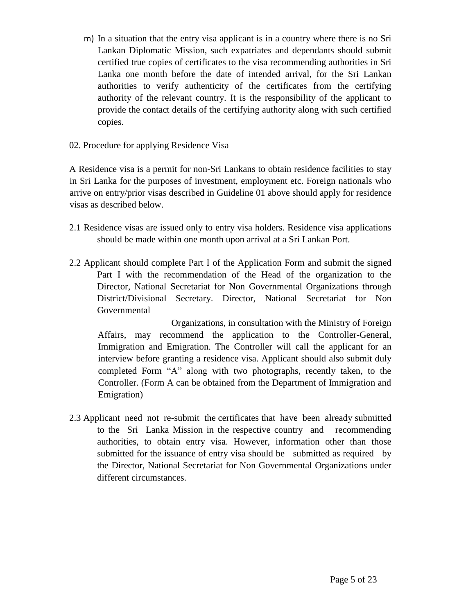- m) In a situation that the entry visa applicant is in a country where there is no Sri Lankan Diplomatic Mission, such expatriates and dependants should submit certified true copies of certificates to the visa recommending authorities in Sri Lanka one month before the date of intended arrival, for the Sri Lankan authorities to verify authenticity of the certificates from the certifying authority of the relevant country. It is the responsibility of the applicant to provide the contact details of the certifying authority along with such certified copies.
- 02. Procedure for applying Residence Visa

A Residence visa is a permit for non-Sri Lankans to obtain residence facilities to stay in Sri Lanka for the purposes of investment, employment etc. Foreign nationals who arrive on entry/prior visas described in Guideline 01 above should apply for residence visas as described below.

- 2.1 Residence visas are issued only to entry visa holders. Residence visa applications should be made within one month upon arrival at a Sri Lankan Port.
- 2.2 Applicant should complete Part I of the Application Form and submit the signed Part I with the recommendation of the Head of the organization to the Director, National Secretariat for Non Governmental Organizations through District/Divisional Secretary. Director, National Secretariat for Non Governmental

Organizations, in consultation with the Ministry of Foreign Affairs, may recommend the application to the Controller-General, Immigration and Emigration. The Controller will call the applicant for an interview before granting a residence visa. Applicant should also submit duly completed Form "A" along with two photographs, recently taken, to the Controller. (Form A can be obtained from the Department of Immigration and Emigration)

2.3 Applicant need not re-submit the certificates that have been already submitted to the Sri Lanka Mission in the respective country and recommending authorities, to obtain entry visa. However, information other than those submitted for the issuance of entry visa should be submitted as required by the Director, National Secretariat for Non Governmental Organizations under different circumstances.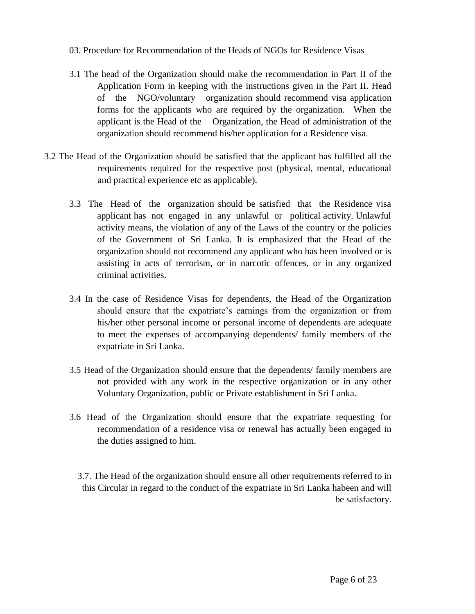- 03. Procedure for Recommendation of the Heads of NGOs for Residence Visas
- 3.1 The head of the Organization should make the recommendation in Part II of the Application Form in keeping with the instructions given in the Part II. Head of the NGO/voluntary organization should recommend visa application forms for the applicants who are required by the organization. When the applicant is the Head of the Organization, the Head of administration of the organization should recommend his/her application for a Residence visa.
- 3.2 The Head of the Organization should be satisfied that the applicant has fulfilled all the requirements required for the respective post (physical, mental, educational and practical experience etc as applicable).
	- 3.3 The Head of the organization should be satisfied that the Residence visa applicant has not engaged in any unlawful or political activity. Unlawful activity means, the violation of any of the Laws of the country or the policies of the Government of Sri Lanka. It is emphasized that the Head of the organization should not recommend any applicant who has been involved or is assisting in acts of terrorism, or in narcotic offences, or in any organized criminal activities.
	- 3.4 In the case of Residence Visas for dependents, the Head of the Organization should ensure that the expatriate's earnings from the organization or from his/her other personal income or personal income of dependents are adequate to meet the expenses of accompanying dependents/ family members of the expatriate in Sri Lanka.
	- 3.5 Head of the Organization should ensure that the dependents/ family members are not provided with any work in the respective organization or in any other Voluntary Organization, public or Private establishment in Sri Lanka.
	- 3.6 Head of the Organization should ensure that the expatriate requesting for recommendation of a residence visa or renewal has actually been engaged in the duties assigned to him.
		- 3.7. The Head of the organization should ensure all other requirements referred to in this Circular in regard to the conduct of the expatriate in Sri Lanka habeen and will be satisfactory.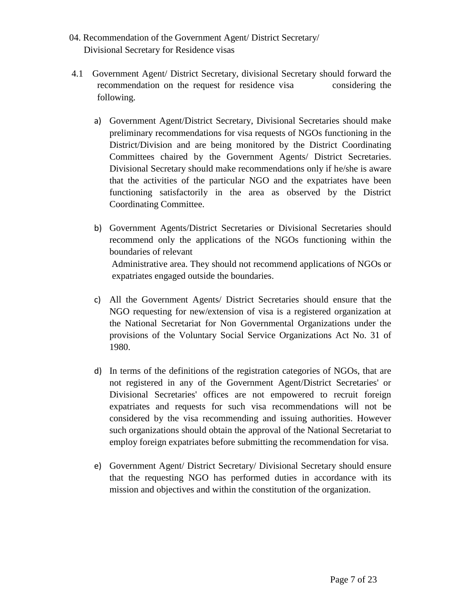- 04. Recommendation of the Government Agent/ District Secretary/ Divisional Secretary for Residence visas
- 4.1 Government Agent/ District Secretary, divisional Secretary should forward the recommendation on the request for residence visa considering the following.
	- a) Government Agent/District Secretary, Divisional Secretaries should make preliminary recommendations for visa requests of NGOs functioning in the District/Division and are being monitored by the District Coordinating Committees chaired by the Government Agents/ District Secretaries. Divisional Secretary should make recommendations only if he/she is aware that the activities of the particular NGO and the expatriates have been functioning satisfactorily in the area as observed by the District Coordinating Committee.
	- b) Government Agents/District Secretaries or Divisional Secretaries should recommend only the applications of the NGOs functioning within the boundaries of relevant Administrative area. They should not recommend applications of NGOs or expatriates engaged outside the boundaries.
	- c) All the Government Agents/ District Secretaries should ensure that the NGO requesting for new/extension of visa is a registered organization at the National Secretariat for Non Governmental Organizations under the provisions of the Voluntary Social Service Organizations Act No. 31 of 1980.
	- d) In terms of the definitions of the registration categories of NGOs, that are not registered in any of the Government Agent/District Secretaries' or Divisional Secretaries' offices are not empowered to recruit foreign expatriates and requests for such visa recommendations will not be considered by the visa recommending and issuing authorities. However such organizations should obtain the approval of the National Secretariat to employ foreign expatriates before submitting the recommendation for visa.
	- e) Government Agent/ District Secretary/ Divisional Secretary should ensure that the requesting NGO has performed duties in accordance with its mission and objectives and within the constitution of the organization.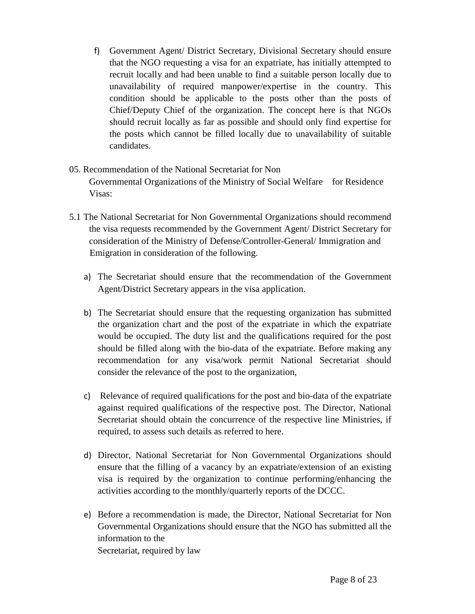f) Government Agent/ District Secretary, Divisional Secretary should ensure that the NGO requesting a visa for an expatriate, has initially attempted to recruit locally and had been unable to find a suitable person locally due to unavailability of required manpower/expertise in the country. This condition should be applicable to the posts other than the posts of Chief/Deputy Chief of the organization. The concept here is that NGOs should recruit locally as far as possible and should only find expertise for the posts which cannot be filled locally due to unavailability of suitable candidates.

### 05. Recommendation of the National Secretariat for Non Governmental Organizations of the Ministry of Social Welfare for Residence Visas:

- 5.1 The National Secretariat for Non Governmental Organizations should recommend the visa requests recommended by the Government Agent/ District Secretary for consideration of the Ministry of Defense/Controller-General/ Immigration and Emigration in consideration of the following.
	- a) The Secretariat should ensure that the recommendation of the Government Agent/District Secretary appears in the visa application.
	- b) The Secretariat should ensure that the requesting organization has submitted the organization chart and the post of the expatriate in which the expatriate would be occupied. The duty list and the qualifications required for the post should be filled along with the bio-data of the expatriate. Before making any recommendation for any visa/work permit National Secretariat should consider the relevance of the post to the organization,
	- c) Relevance of required qualifications for the post and bio-data of the expatriate against required qualifications of the respective post. The Director, National Secretariat should obtain the concurrence of the respective line Ministries, if required, to assess such details as referred to here.
	- d) Director, National Secretariat for Non Governmental Organizations should ensure that the filling of a vacancy by an expatriate/extension of an existing visa is required by the organization to continue performing/enhancing the activities according to the monthly/quarterly reports of the DCCC.
	- e) Before a recommendation is made, the Director, National Secretariat for Non Governmental Organizations should ensure that the NGO has submitted all the information to the Secretariat, required by law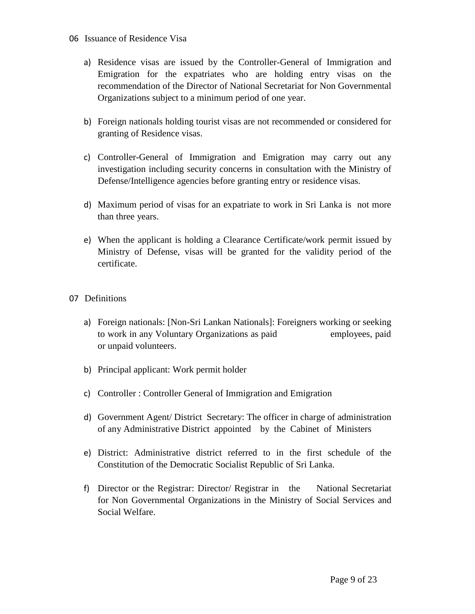### 06 Issuance of Residence Visa

- a) Residence visas are issued by the Controller-General of Immigration and Emigration for the expatriates who are holding entry visas on the recommendation of the Director of National Secretariat for Non Governmental Organizations subject to a minimum period of one year.
- b) Foreign nationals holding tourist visas are not recommended or considered for granting of Residence visas.
- c) Controller-General of Immigration and Emigration may carry out any investigation including security concerns in consultation with the Ministry of Defense/Intelligence agencies before granting entry or residence visas.
- d) Maximum period of visas for an expatriate to work in Sri Lanka is not more than three years.
- e) When the applicant is holding a Clearance Certificate/work permit issued by Ministry of Defense, visas will be granted for the validity period of the certificate.

### 07 Definitions

- a) Foreign nationals: [Non-Sri Lankan Nationals]: Foreigners working or seeking to work in any Voluntary Organizations as paid employees, paid or unpaid volunteers.
- b) Principal applicant: Work permit holder
- c) Controller : Controller General of Immigration and Emigration
- d) Government Agent/ District Secretary: The officer in charge of administration of any Administrative District appointed by the Cabinet of Ministers
- e) District: Administrative district referred to in the first schedule of the Constitution of the Democratic Socialist Republic of Sri Lanka.
- f) Director or the Registrar: Director/ Registrar in the National Secretariat for Non Governmental Organizations in the Ministry of Social Services and Social Welfare.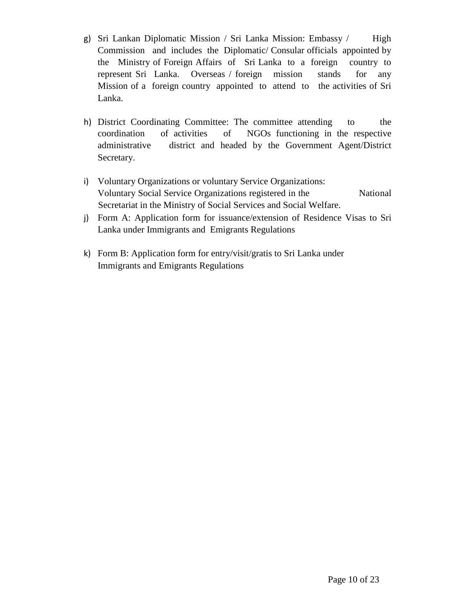- g) Sri Lankan Diplomatic Mission / Sri Lanka Mission: Embassy / High Commission and includes the Diplomatic/ Consular officials appointed by the Ministry of Foreign Affairs of Sri Lanka to a foreign country to represent Sri Lanka. Overseas / foreign mission stands for any Mission of a foreign country appointed to attend to the activities of Sri Lanka.
- h) District Coordinating Committee: The committee attending to the coordination of activities of NGOs functioning in the respective administrative district and headed by the Government Agent/District Secretary.
- i) Voluntary Organizations or voluntary Service Organizations: Voluntary Social Service Organizations registered in the National Secretariat in the Ministry of Social Services and Social Welfare.
- j) Form A: Application form for issuance/extension of Residence Visas to Sri Lanka under Immigrants and Emigrants Regulations
- k) Form B: Application form for entry/visit/gratis to Sri Lanka under Immigrants and Emigrants Regulations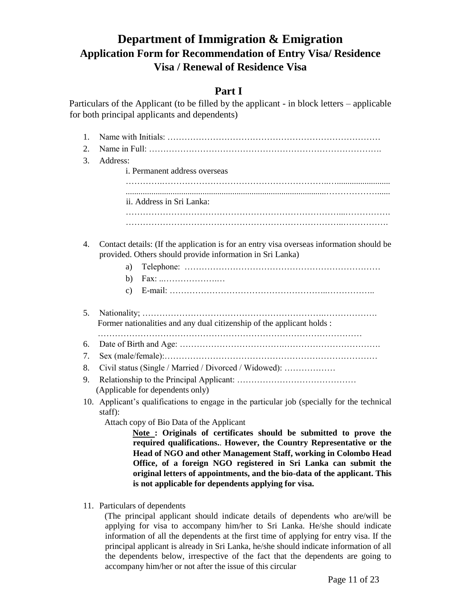## **Department of Immigration & Emigration Application Form for Recommendation of Entry Visa/ Residence Visa / Renewal of Residence Visa**

## **Part I**

Particulars of the Applicant (to be filled by the applicant - in block letters – applicable for both principal applicants and dependents)

| 1. |                                                                                                                                                       |  |  |  |  |  |  |  |
|----|-------------------------------------------------------------------------------------------------------------------------------------------------------|--|--|--|--|--|--|--|
| 2. |                                                                                                                                                       |  |  |  |  |  |  |  |
| 3. | Address:                                                                                                                                              |  |  |  |  |  |  |  |
|    | i. Permanent address overseas                                                                                                                         |  |  |  |  |  |  |  |
|    |                                                                                                                                                       |  |  |  |  |  |  |  |
|    | ii. Address in Sri Lanka:                                                                                                                             |  |  |  |  |  |  |  |
|    |                                                                                                                                                       |  |  |  |  |  |  |  |
|    |                                                                                                                                                       |  |  |  |  |  |  |  |
| 4. | Contact details: (If the application is for an entry visa overseas information should be<br>provided. Others should provide information in Sri Lanka) |  |  |  |  |  |  |  |
|    | a)                                                                                                                                                    |  |  |  |  |  |  |  |
|    | Fax:<br>b)                                                                                                                                            |  |  |  |  |  |  |  |
|    | $\mathbf{c})$                                                                                                                                         |  |  |  |  |  |  |  |
| 5. | Former nationalities and any dual citizenship of the applicant holds :                                                                                |  |  |  |  |  |  |  |
| 6. |                                                                                                                                                       |  |  |  |  |  |  |  |
| 7. |                                                                                                                                                       |  |  |  |  |  |  |  |
| 8. | Civil status (Single / Married / Divorced / Widowed):                                                                                                 |  |  |  |  |  |  |  |
| 9. |                                                                                                                                                       |  |  |  |  |  |  |  |
|    | (Applicable for dependents only)                                                                                                                      |  |  |  |  |  |  |  |
|    | Applicant's qualifications to engage in the particular job (specially for the technical<br>10.                                                        |  |  |  |  |  |  |  |
|    | staff):<br>Attach copy of Bio Data of the Applicant                                                                                                   |  |  |  |  |  |  |  |
|    | Note: Originals of certificates should be submitted to prove the                                                                                      |  |  |  |  |  |  |  |
|    | required qualifications However, the Country Representative or the                                                                                    |  |  |  |  |  |  |  |
|    | Head of NGO and other Management Staff, working in Colombo Head                                                                                       |  |  |  |  |  |  |  |
|    | Office, of a foreign NGO registered in Sri Lanka can submit the                                                                                       |  |  |  |  |  |  |  |
|    | original letters of appointments, and the bio-data of the applicant. This                                                                             |  |  |  |  |  |  |  |
|    | is not applicable for dependents applying for visa.                                                                                                   |  |  |  |  |  |  |  |

11. Particulars of dependents

(The principal applicant should indicate details of dependents who are/will be applying for visa to accompany him/her to Sri Lanka. He/she should indicate information of all the dependents at the first time of applying for entry visa. If the principal applicant is already in Sri Lanka, he/she should indicate information of all the dependents below, irrespective of the fact that the dependents are going to accompany him/her or not after the issue of this circular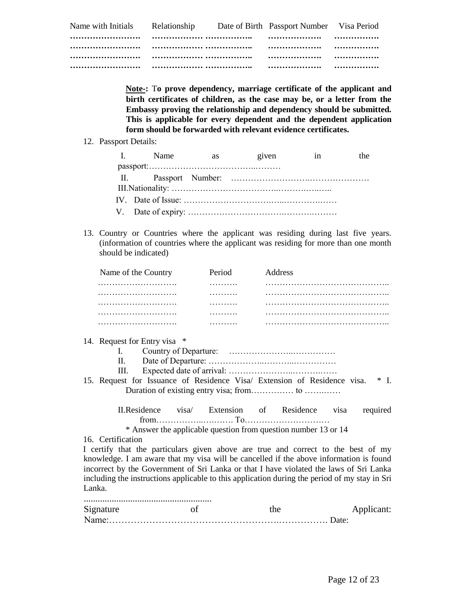| Name with Initials | Relationship | Date of Birth Passport Number Visa Period |   |
|--------------------|--------------|-------------------------------------------|---|
|                    |              | .                                         | . |
|                    |              |                                           |   |
|                    |              |                                           |   |
|                    |              |                                           |   |

**Note-:** T**o prove dependency, marriage certificate of the applicant and birth certificates of children, as the case may be, or a letter from the Embassy proving the relationship and dependency should be submitted. This is applicable for every dependent and the dependent application form should be forwarded with relevant evidence certificates.** 

12. Passport Details:

| I. Name | as given | <i>in</i> | the |
|---------|----------|-----------|-----|
|         |          |           |     |
|         |          |           |     |
|         |          |           |     |
|         |          |           |     |
|         |          |           |     |

13. Country or Countries where the applicant was residing during last five years. (information of countries where the applicant was residing for more than one month should be indicated)

|        | Name of the Country                                                                                                                                                                                                                                                                                                                                                                                                                                                                                                                                                     | Period | Address                                                        |                    |
|--------|-------------------------------------------------------------------------------------------------------------------------------------------------------------------------------------------------------------------------------------------------------------------------------------------------------------------------------------------------------------------------------------------------------------------------------------------------------------------------------------------------------------------------------------------------------------------------|--------|----------------------------------------------------------------|--------------------|
|        | .                                                                                                                                                                                                                                                                                                                                                                                                                                                                                                                                                                       |        |                                                                |                    |
|        |                                                                                                                                                                                                                                                                                                                                                                                                                                                                                                                                                                         | .      |                                                                |                    |
|        |                                                                                                                                                                                                                                                                                                                                                                                                                                                                                                                                                                         | .      |                                                                |                    |
|        |                                                                                                                                                                                                                                                                                                                                                                                                                                                                                                                                                                         |        |                                                                |                    |
|        |                                                                                                                                                                                                                                                                                                                                                                                                                                                                                                                                                                         |        |                                                                |                    |
| Lanka. | 14. Request for Entry visa *<br>II.<br>III.<br>15. Request for Issuance of Residence Visa/ Extension of Residence visa.<br>II.Residence visa Extension of Residence visa<br>16. Certification<br>I certify that the particulars given above are true and correct to the best of my<br>knowledge. I am aware that my visa will be cancelled if the above information is found<br>incorrect by the Government of Sri Lanka or that I have violated the laws of Sri Lanka<br>including the instructions applicable to this application during the period of my stay in Sri |        | * Answer the applicable question from question number 13 or 14 | $*$ I.<br>required |
|        |                                                                                                                                                                                                                                                                                                                                                                                                                                                                                                                                                                         |        |                                                                |                    |

| Signature | the. | Applicant: |
|-----------|------|------------|
|           |      |            |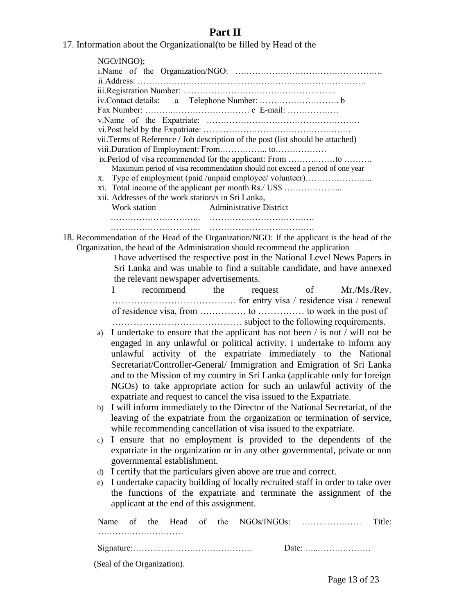## **Part II**

| 17. Information about the Organizational (to be filled by Head of the |  |  |
|-----------------------------------------------------------------------|--|--|
|-----------------------------------------------------------------------|--|--|

|    | NGO/INGO);                                                                                  |  |  |  |  |  |  |  |
|----|---------------------------------------------------------------------------------------------|--|--|--|--|--|--|--|
|    |                                                                                             |  |  |  |  |  |  |  |
|    |                                                                                             |  |  |  |  |  |  |  |
|    |                                                                                             |  |  |  |  |  |  |  |
|    |                                                                                             |  |  |  |  |  |  |  |
|    |                                                                                             |  |  |  |  |  |  |  |
|    |                                                                                             |  |  |  |  |  |  |  |
|    |                                                                                             |  |  |  |  |  |  |  |
|    | vii. Terms of Reference / Job description of the post (list should be attached)             |  |  |  |  |  |  |  |
|    |                                                                                             |  |  |  |  |  |  |  |
|    | ix.Period of visa recommended for the applicant: From to                                    |  |  |  |  |  |  |  |
|    | Maximum period of visa recommendation should not exceed a period of one year                |  |  |  |  |  |  |  |
|    | Type of employment (paid /unpaid employee/ volunteer)                                       |  |  |  |  |  |  |  |
| X. | xi. Total income of the applicant per month Rs./ US\$                                       |  |  |  |  |  |  |  |
|    | xii. Addresses of the work station/s in Sri Lanka,                                          |  |  |  |  |  |  |  |
|    | Work station Administrative District                                                        |  |  |  |  |  |  |  |
|    |                                                                                             |  |  |  |  |  |  |  |
|    |                                                                                             |  |  |  |  |  |  |  |
|    |                                                                                             |  |  |  |  |  |  |  |
|    | 18. Recommendation of the Head of the Organization/NGO: If the applicant is the head of the |  |  |  |  |  |  |  |
|    | Organization, the head of the Administration should recommend the application               |  |  |  |  |  |  |  |
|    | I have advertised the respective post in the National Level News Papers in                  |  |  |  |  |  |  |  |
|    | Sri Lanka and was unable to find a suitable candidate, and have annexed                     |  |  |  |  |  |  |  |
|    | the relevant newspaper advertisements.                                                      |  |  |  |  |  |  |  |
|    | $\mathbf{I}$ and $\mathbf{I}$<br>recommend the<br>request of Mr./Ms./Rev.                   |  |  |  |  |  |  |  |
|    |                                                                                             |  |  |  |  |  |  |  |
|    |                                                                                             |  |  |  |  |  |  |  |
|    |                                                                                             |  |  |  |  |  |  |  |
|    |                                                                                             |  |  |  |  |  |  |  |
| a) | I undertake to ensure that the applicant has not been / is not / will not be                |  |  |  |  |  |  |  |
|    | angaged in any unlawful or political activity. I undertake to inform any                    |  |  |  |  |  |  |  |

- engaged in any unlawful or political activity. I undertake to inform any unlawful activity of the expatriate immediately to the National Secretariat/Controller-General/ Immigration and Emigration of Sri Lanka and to the Mission of my country in Sri Lanka (applicable only for foreign NGOs) to take appropriate action for such an unlawful activity of the expatriate and request to cancel the visa issued to the Expatriate.
- b) I will inform immediately to the Director of the National Secretariat, of the leaving of the expatriate from the organization or termination of service, while recommending cancellation of visa issued to the expatriate.
- c) I ensure that no employment is provided to the dependents of the expatriate in the organization or in any other governmental, private or non governmental establishment.
- d) I certify that the particulars given above are true and correct.
- e) I undertake capacity building of locally recruited staff in order to take over the functions of the expatriate and terminate the assignment of the applicant at the end of this assignment.

|                             |  |  |  |                                                   | Title <sup>.</sup> |
|-----------------------------|--|--|--|---------------------------------------------------|--------------------|
|                             |  |  |  |                                                   |                    |
|                             |  |  |  | Date: $\dots \dots \dots \dots \dots \dots \dots$ |                    |
| (Seal of the Organization). |  |  |  |                                                   |                    |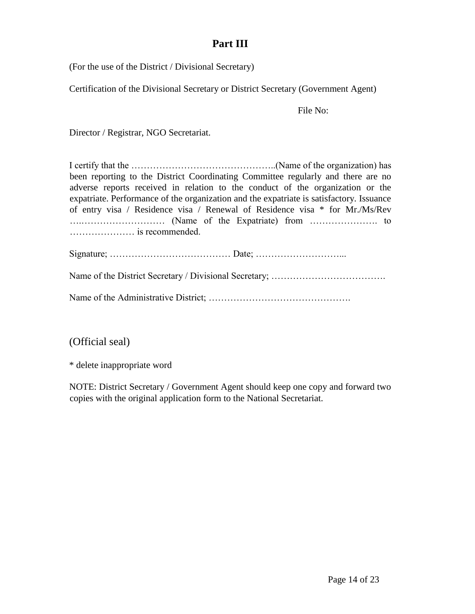## **Part III**

(For the use of the District / Divisional Secretary)

Certification of the Divisional Secretary or District Secretary (Government Agent)

File No:

Director / Registrar, NGO Secretariat.

I certify that the ………………………………………..(Name of the organization) has been reporting to the District Coordinating Committee regularly and there are no adverse reports received in relation to the conduct of the organization or the expatriate. Performance of the organization and the expatriate is satisfactory. Issuance of entry visa / Residence visa / Renewal of Residence visa \* for Mr./Ms/Rev ….……………………… (Name of the Expatriate) from …………………. to ………………… is recommended.

Signature; ………………………………… Date; ………………………...

Name of the District Secretary / Divisional Secretary; ……………………………………………………………………

Name of the Administrative District; ……………………………………….

## (Official seal)

\* delete inappropriate word

NOTE: District Secretary / Government Agent should keep one copy and forward two copies with the original application form to the National Secretariat.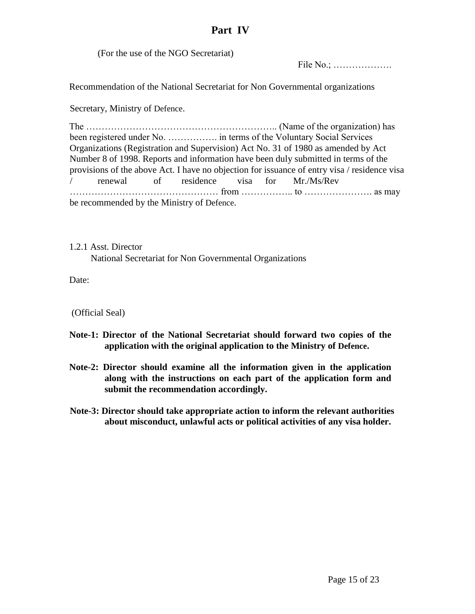### **Part IV**

(For the use of the NGO Secretariat)

File No.; ……………….

Recommendation of the National Secretariat for Non Governmental organizations

Secretary, Ministry of Defence.

The …………………………………………………….. (Name of the organization) has been registered under No. ……………. in terms of the Voluntary Social Services Organizations (Registration and Supervision) Act No. 31 of 1980 as amended by Act Number 8 of 1998. Reports and information have been duly submitted in terms of the provisions of the above Act. I have no objection for issuance of entry visa / residence visa / renewal of residence visa for Mr./Ms/Rev ………………………………………… from …………….. to …………………. as may be recommended by the Ministry of Defence.

1.2.1 Asst. Director National Secretariat for Non Governmental Organizations

Date:

(Official Seal)

- **Note-1: Director of the National Secretariat should forward two copies of the application with the original application to the Ministry of Defence.**
- **Note-2: Director should examine all the information given in the application along with the instructions on each part of the application form and submit the recommendation accordingly.**
- **Note-3: Director should take appropriate action to inform the relevant authorities about misconduct, unlawful acts or political activities of any visa holder.**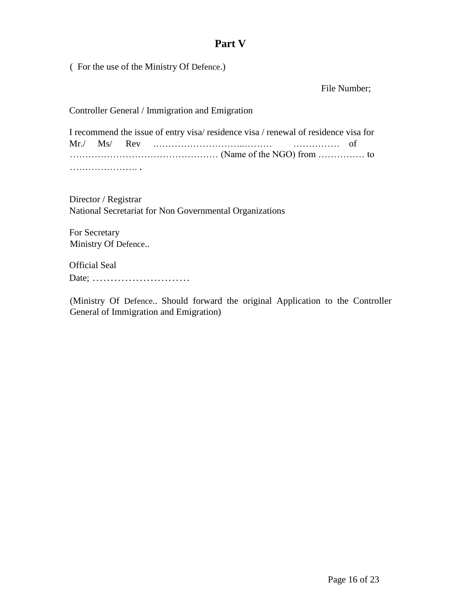## **Part V**

( For the use of the Ministry Of Defence.)

File Number;

Controller General / Immigration and Emigration

I recommend the issue of entry visa/ residence visa / renewal of residence visa for Mr./ Ms/ Rev .………………………..……… …………… of ………………………………………… (Name of the NGO) from …………… to …………………………

Director / Registrar National Secretariat for Non Governmental Organizations

For Secretary Ministry Of Defence..

Official Seal Date; ………………………

(Ministry Of Defence.. Should forward the original Application to the Controller General of Immigration and Emigration)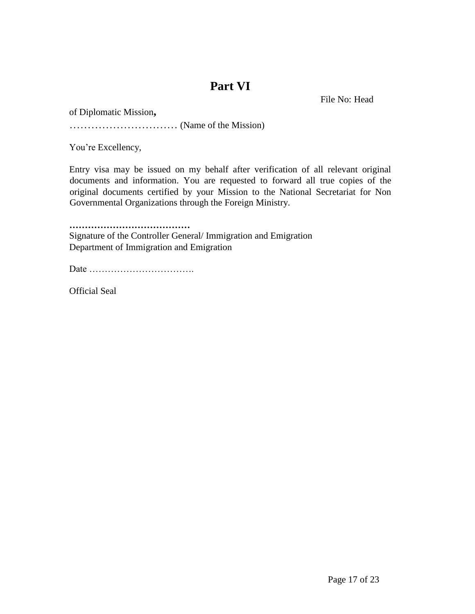## **Part VI**

File No: Head

of Diplomatic Mission**,**

………………………… (Name of the Mission)

You're Excellency,

Entry visa may be issued on my behalf after verification of all relevant original documents and information. You are requested to forward all true copies of the original documents certified by your Mission to the National Secretariat for Non Governmental Organizations through the Foreign Ministry.

**…………………………………**  Signature of the Controller General/ Immigration and Emigration Department of Immigration and Emigration

Date …………………………….

Official Seal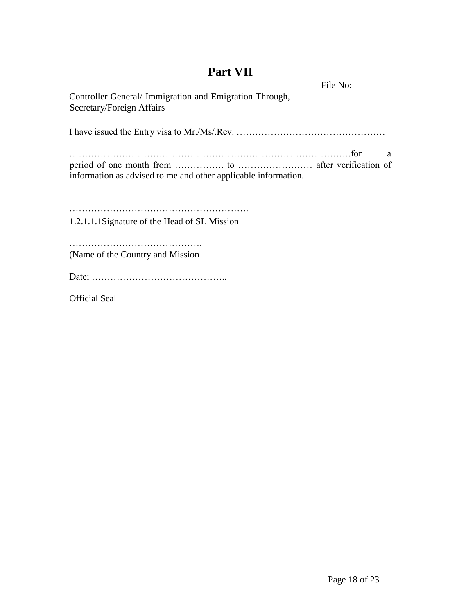# **Part VII**

File No:

| Controller General/Immigration and Emigration Through,<br>Secretary/Foreign Affairs |
|-------------------------------------------------------------------------------------|
|                                                                                     |
| a<br>information as advised to me and other applicable information.                 |
| 1.2.1.1.1 Signature of the Head of SL Mission                                       |
| (Name of the Country and Mission)                                                   |
|                                                                                     |
| <b>Official Seal</b>                                                                |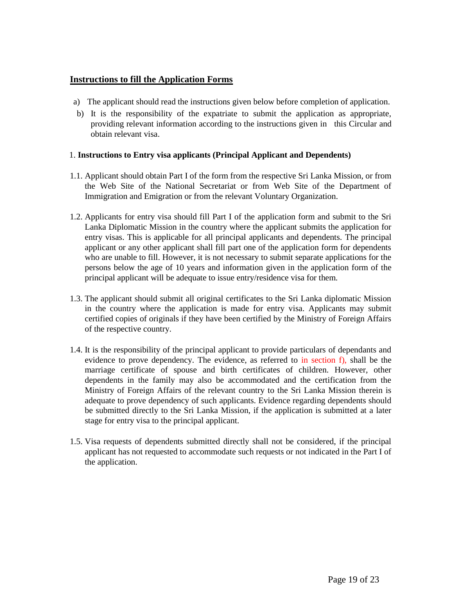### **Instructions to fill the Application Forms**

- a) The applicant should read the instructions given below before completion of application.
- b) It is the responsibility of the expatriate to submit the application as appropriate, providing relevant information according to the instructions given in this Circular and obtain relevant visa.

### 1. **Instructions to Entry visa applicants (Principal Applicant and Dependents)**

- 1.1. Applicant should obtain Part I of the form from the respective Sri Lanka Mission, or from the Web Site of the National Secretariat or from Web Site of the Department of Immigration and Emigration or from the relevant Voluntary Organization.
- 1.2. Applicants for entry visa should fill Part I of the application form and submit to the Sri Lanka Diplomatic Mission in the country where the applicant submits the application for entry visas. This is applicable for all principal applicants and dependents. The principal applicant or any other applicant shall fill part one of the application form for dependents who are unable to fill. However, it is not necessary to submit separate applications for the persons below the age of 10 years and information given in the application form of the principal applicant will be adequate to issue entry/residence visa for them.
- 1.3. The applicant should submit all original certificates to the Sri Lanka diplomatic Mission in the country where the application is made for entry visa. Applicants may submit certified copies of originals if they have been certified by the Ministry of Foreign Affairs of the respective country.
- 1.4. It is the responsibility of the principal applicant to provide particulars of dependants and evidence to prove dependency. The evidence, as referred to in section f), shall be the marriage certificate of spouse and birth certificates of children. However, other dependents in the family may also be accommodated and the certification from the Ministry of Foreign Affairs of the relevant country to the Sri Lanka Mission therein is adequate to prove dependency of such applicants. Evidence regarding dependents should be submitted directly to the Sri Lanka Mission, if the application is submitted at a later stage for entry visa to the principal applicant.
- 1.5. Visa requests of dependents submitted directly shall not be considered, if the principal applicant has not requested to accommodate such requests or not indicated in the Part I of the application.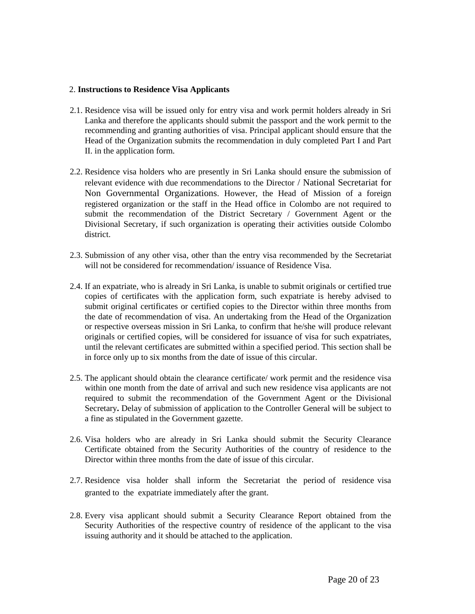#### 2. **Instructions to Residence Visa Applicants**

- 2.1. Residence visa will be issued only for entry visa and work permit holders already in Sri Lanka and therefore the applicants should submit the passport and the work permit to the recommending and granting authorities of visa. Principal applicant should ensure that the Head of the Organization submits the recommendation in duly completed Part I and Part II. in the application form.
- 2.2. Residence visa holders who are presently in Sri Lanka should ensure the submission of relevant evidence with due recommendations to the Director / National Secretariat for Non Governmental Organizations. However, the Head of Mission of a foreign registered organization or the staff in the Head office in Colombo are not required to submit the recommendation of the District Secretary / Government Agent or the Divisional Secretary, if such organization is operating their activities outside Colombo district.
- 2.3. Submission of any other visa, other than the entry visa recommended by the Secretariat will not be considered for recommendation/ issuance of Residence Visa.
- 2.4. If an expatriate, who is already in Sri Lanka, is unable to submit originals or certified true copies of certificates with the application form, such expatriate is hereby advised to submit original certificates or certified copies to the Director within three months from the date of recommendation of visa. An undertaking from the Head of the Organization or respective overseas mission in Sri Lanka, to confirm that he/she will produce relevant originals or certified copies, will be considered for issuance of visa for such expatriates, until the relevant certificates are submitted within a specified period. This section shall be in force only up to six months from the date of issue of this circular.
- 2.5. The applicant should obtain the clearance certificate/ work permit and the residence visa within one month from the date of arrival and such new residence visa applicants are not required to submit the recommendation of the Government Agent or the Divisional Secretary**.** Delay of submission of application to the Controller General will be subject to a fine as stipulated in the Government gazette.
- 2.6. Visa holders who are already in Sri Lanka should submit the Security Clearance Certificate obtained from the Security Authorities of the country of residence to the Director within three months from the date of issue of this circular.
- 2.7. Residence visa holder shall inform the Secretariat the period of residence visa granted to the expatriate immediately after the grant.
- 2.8. Every visa applicant should submit a Security Clearance Report obtained from the Security Authorities of the respective country of residence of the applicant to the visa issuing authority and it should be attached to the application.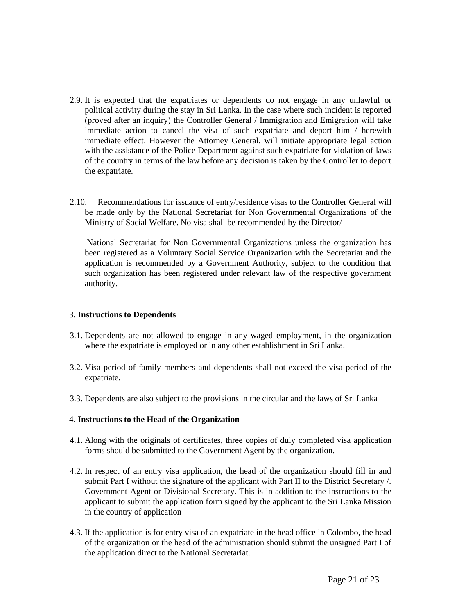- 2.9. It is expected that the expatriates or dependents do not engage in any unlawful or political activity during the stay in Sri Lanka. In the case where such incident is reported (proved after an inquiry) the Controller General / Immigration and Emigration will take immediate action to cancel the visa of such expatriate and deport him / herewith immediate effect. However the Attorney General, will initiate appropriate legal action with the assistance of the Police Department against such expatriate for violation of laws of the country in terms of the law before any decision is taken by the Controller to deport the expatriate.
- 2.10. Recommendations for issuance of entry/residence visas to the Controller General will be made only by the National Secretariat for Non Governmental Organizations of the Ministry of Social Welfare. No visa shall be recommended by the Director/

National Secretariat for Non Governmental Organizations unless the organization has been registered as a Voluntary Social Service Organization with the Secretariat and the application is recommended by a Government Authority, subject to the condition that such organization has been registered under relevant law of the respective government authority.

#### 3. **Instructions to Dependents**

- 3.1. Dependents are not allowed to engage in any waged employment, in the organization where the expatriate is employed or in any other establishment in Sri Lanka.
- 3.2. Visa period of family members and dependents shall not exceed the visa period of the expatriate.
- 3.3. Dependents are also subject to the provisions in the circular and the laws of Sri Lanka

### 4. **Instructions to the Head of the Organization**

- 4.1. Along with the originals of certificates, three copies of duly completed visa application forms should be submitted to the Government Agent by the organization.
- 4.2. In respect of an entry visa application, the head of the organization should fill in and submit Part I without the signature of the applicant with Part II to the District Secretary /. Government Agent or Divisional Secretary. This is in addition to the instructions to the applicant to submit the application form signed by the applicant to the Sri Lanka Mission in the country of application
- 4.3. If the application is for entry visa of an expatriate in the head office in Colombo, the head of the organization or the head of the administration should submit the unsigned Part I of the application direct to the National Secretariat.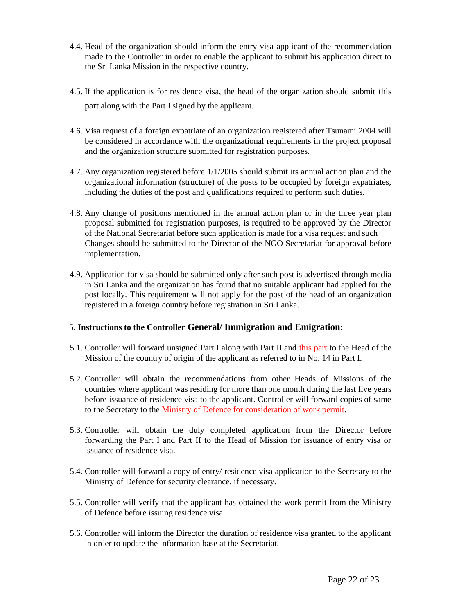- 4.4. Head of the organization should inform the entry visa applicant of the recommendation made to the Controller in order to enable the applicant to submit his application direct to the Sri Lanka Mission in the respective country.
- 4.5. If the application is for residence visa, the head of the organization should submit this part along with the Part I signed by the applicant.
- 4.6. Visa request of a foreign expatriate of an organization registered after Tsunami 2004 will be considered in accordance with the organizational requirements in the project proposal and the organization structure submitted for registration purposes.
- 4.7. Any organization registered before 1/1/2005 should submit its annual action plan and the organizational information (structure) of the posts to be occupied by foreign expatriates, including the duties of the post and qualifications required to perform such duties.
- 4.8. Any change of positions mentioned in the annual action plan or in the three year plan proposal submitted for registration purposes, is required to be approved by the Director of the National Secretariat before such application is made for a visa request and such Changes should be submitted to the Director of the NGO Secretariat for approval before implementation.
- 4.9. Application for visa should be submitted only after such post is advertised through media in Sri Lanka and the organization has found that no suitable applicant had applied for the post locally. This requirement will not apply for the post of the head of an organization registered in a foreign country before registration in Sri Lanka.

### 5. **Instructions to the Controller General/ Immigration and Emigration:**

- 5.1. Controller will forward unsigned Part I along with Part II and this part to the Head of the Mission of the country of origin of the applicant as referred to in No. 14 in Part I.
- 5.2. Controller will obtain the recommendations from other Heads of Missions of the countries where applicant was residing for more than one month during the last five years before issuance of residence visa to the applicant. Controller will forward copies of same to the Secretary to the Ministry of Defence for consideration of work permit.
- 5.3. Controller will obtain the duly completed application from the Director before forwarding the Part I and Part II to the Head of Mission for issuance of entry visa or issuance of residence visa.
- 5.4. Controller will forward a copy of entry/ residence visa application to the Secretary to the Ministry of Defence for security clearance, if necessary.
- 5.5. Controller will verify that the applicant has obtained the work permit from the Ministry of Defence before issuing residence visa.
- 5.6. Controller will inform the Director the duration of residence visa granted to the applicant in order to update the information base at the Secretariat.